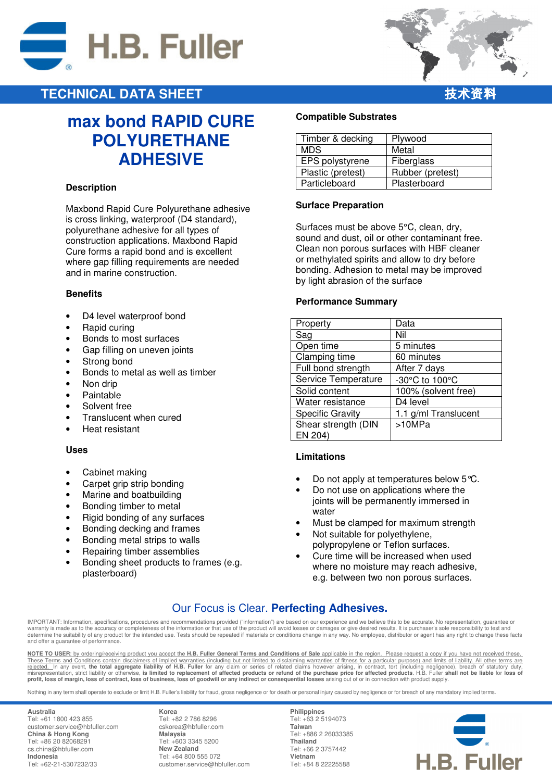



### **TECHNICAL DATA SHEET**

# **max bond RAPID CURE POLYURETHANE ADHESIVE**

### **Description**

Maxbond Rapid Cure Polyurethane adhesive is cross linking, waterproof (D4 standard), polyurethane adhesive for all types of construction applications. Maxbond Rapid Cure forms a rapid bond and is excellent where gap filling requirements are needed and in marine construction.

### **Benefits**

- D4 level waterproof bond
- Rapid curing
- Bonds to most surfaces
- Gap filling on uneven joints
- Strong bond
- Bonds to metal as well as timber
- Non drip
- Paintable
- Solvent free
- Translucent when cured
- Heat resistant

### **Uses**

- Cabinet making
- Carpet grip strip bonding
- Marine and boatbuilding
- Bonding timber to metal
- Rigid bonding of any surfaces
- Bonding decking and frames
- Bonding metal strips to walls
- Repairing timber assemblies
- Bonding sheet products to frames (e.g. plasterboard)

### **Compatible Substrates**

| Timber & decking  | Plywood          |
|-------------------|------------------|
| <b>MDS</b>        | Metal            |
| EPS polystyrene   | Fiberglass       |
| Plastic (pretest) | Rubber (pretest) |
| Particleboard     | Plasterboard     |

### **Surface Preparation**

Surfaces must be above 5°C, clean, dry, sound and dust, oil or other contaminant free. Clean non porous surfaces with HBF cleaner or methylated spirits and allow to dry before bonding. Adhesion to metal may be improved by light abrasion of the surface

#### **Performance Summary**

| Property                | Data                 |
|-------------------------|----------------------|
| Sag                     | Nil                  |
| Open time               | 5 minutes            |
| Clamping time           | 60 minutes           |
| Full bond strength      | After 7 days         |
| Service Temperature     | -30°C to 100°C       |
| Solid content           | 100% (solvent free)  |
| Water resistance        | D4 level             |
| <b>Specific Gravity</b> | 1.1 g/ml Translucent |
| Shear strength (DIN     | >10MPa               |
| EN 204)                 |                      |

### **Limitations**

- Do not apply at temperatures below 5 ℃.
- Do not use on applications where the joints will be permanently immersed in water
- Must be clamped for maximum strength
- Not suitable for polyethylene, polypropylene or Teflon surfaces.
- Cure time will be increased when used where no moisture may reach adhesive, e.g. between two non porous surfaces.

### Our Focus is Clear. **Perfecting Adhesives.**

IMPORTANT: Information, specifications, procedures and recommendations provided ("information") are based on our experience and we believe this to be accurate. No representation, guarantee or warranty is made as to the accuracy or completeness of the information or that use of the product will avoid losses or damages or give desired results. It is purchaser's sole responsibility to test and<br>determine the suitab and offer a guarantee of performance.

**NOTE TO USER**: by ordering/receiving product you accept the **H.B. Fuller General Terms and Conditions of Sale** applicable in the region. Please request a copy if you have not received these. These Terms and Conditions contain disclaimers of implied warranties (including but not limited to disclaiming warranties of fitness for a particular purpose) and limits of liability. All other terms are rejected. In any e

Nothing in any term shall operate to exclude or limit H.B. Fuller's liability for fraud, gross negligence or for death or personal injury caused by negligence or for breach of any mandatory implied terms.

**Australia**  Tel: +61 1800 423 855 customer.service@hbfuller.com **China & Hong Kong**  Tel: +86 20 82068291 cs.china@hbfuller.com **Indonesia**  Tel: +62-21-5307232/33

**Korea**  Tel: +82 2 786 8296 cskorea@hbfuller.com **Malaysia**  Tel: +603 3345 5200 **New Zealand** Tel: +64 800 555 072 customer.service@hbfuller.com

**Philippines**  Tel: +63 2 5194073 **Taiwan**  Tel: +886 2 26033385 **Thailand**  Tel: +66 2 3757442 **Vietnam**  Tel: +84 8 22225588